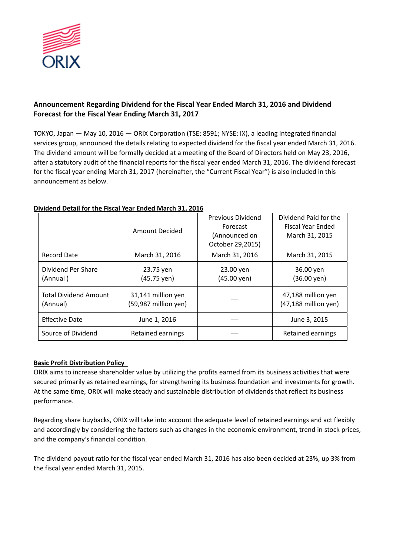

# **Announcement Regarding Dividend for the Fiscal Year Ended March 31, 2016 and Dividend Forecast for the Fiscal Year Ending March 31, 2017**

TOKYO, Japan — May 10, 2016 — ORIX Corporation (TSE: 8591; NYSE: IX), a leading integrated financial services group, announced the details relating to expected dividend for the fiscal year ended March 31, 2016. The dividend amount will be formally decided at a meeting of the Board of Directors held on May 23, 2016, after a statutory audit of the financial reports for the fiscal year ended March 31, 2016. The dividend forecast for the fiscal year ending March 31, 2017 (hereinafter, the "Current Fiscal Year") is also included in this announcement as below.

|                                          | Amount Decided                             | Previous Dividend<br>Forecast<br>(Announced on<br>October 29,2015) | Dividend Paid for the<br>Fiscal Year Ended<br>March 31, 2015 |
|------------------------------------------|--------------------------------------------|--------------------------------------------------------------------|--------------------------------------------------------------|
| Record Date                              | March 31, 2016                             | March 31, 2016                                                     | March 31, 2015                                               |
| Dividend Per Share<br>(Annual)           | 23.75 yen<br>(45.75 yen)                   | 23.00 yen<br>(45.00 yen)                                           | 36.00 yen<br>(36.00 yen)                                     |
| <b>Total Dividend Amount</b><br>(Annual) | 31,141 million yen<br>(59,987 million yen) |                                                                    | 47,188 million yen<br>(47,188 million yen)                   |
| <b>Effective Date</b>                    | June 1, 2016                               |                                                                    | June 3, 2015                                                 |
| Source of Dividend                       | <b>Retained earnings</b>                   |                                                                    | Retained earnings                                            |

## **Dividend Detail for the Fiscal Year Ended March 31, 2016**

### **Basic Profit Distribution Policy**

ORIX aims to increase shareholder value by utilizing the profits earned from its business activities that were secured primarily as retained earnings, for strengthening its business foundation and investments for growth. At the same time, ORIX will make steady and sustainable distribution of dividends that reflect its business performance.

Regarding share buybacks, ORIX will take into account the adequate level of retained earnings and act flexibly and accordingly by considering the factors such as changes in the economic environment, trend in stock prices, and the company's financial condition.

The dividend payout ratio for the fiscal year ended March 31, 2016 has also been decided at 23%, up 3% from the fiscal year ended March 31, 2015.